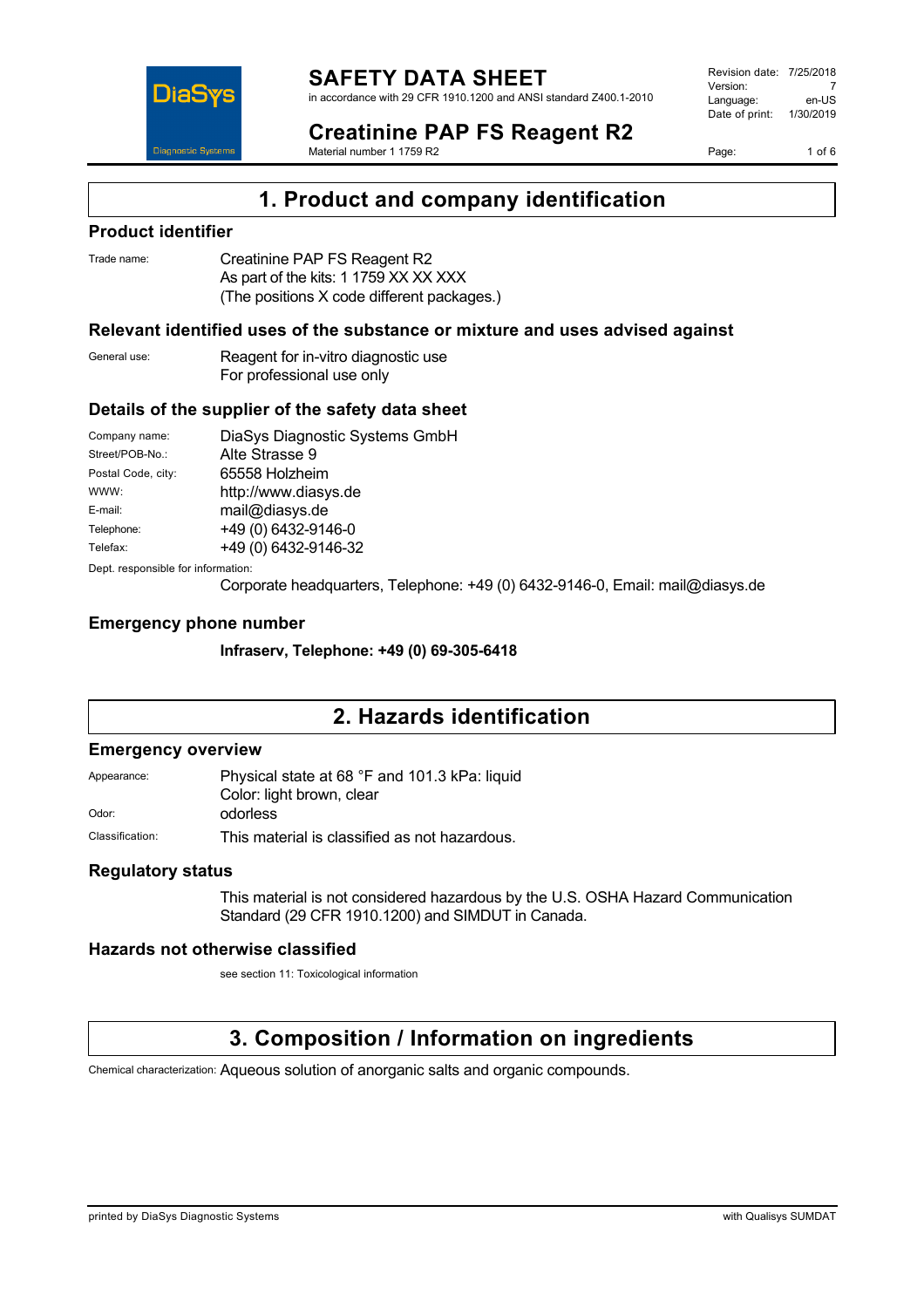

in accordance with 29 CFR 1910.1200 and ANSI standard Z400.1-2010

Revision date: 7/25/2018 Version: 7<br>Language: en-LIS Language: Date of print: 1/30/2019

Page: 1 of 6



#### **Creatinine PAP FS Reagent R2** Material number 1 1759 R2

**1. Product and company identification**

### **Product identifier**

| Trade name: | Creatinine PAP FS Reagent R2               |
|-------------|--------------------------------------------|
|             | As part of the kits: 1 1759 XX XX XXX      |
|             | (The positions X code different packages.) |

### **Relevant identified uses of the substance or mixture and uses advised against**

General use: Reagent for in-vitro diagnostic use For professional use only

### **Details of the supplier of the safety data sheet**

| Company name:                      | DiaSys Diagnostic Systems GmbH |  |
|------------------------------------|--------------------------------|--|
| Street/POB-No.:                    | Alte Strasse 9                 |  |
| Postal Code, city:                 | 65558 Holzheim                 |  |
| WWW:                               | http://www.diasys.de           |  |
| E-mail:                            | mail@diasys.de                 |  |
| Telephone:                         | +49 (0) 6432-9146-0            |  |
| Telefax:                           | +49 (0) 6432-9146-32           |  |
| Dept. responsible for information: |                                |  |

Corporate headquarters, Telephone: +49 (0) 6432-9146-0, Email: mail@diasys.de

### **Emergency phone number**

**Infraserv, Telephone: +49 (0) 69-305-6418**

## **2. Hazards identification**

### **Emergency overview**

Appearance: Physical state at 68 °F and 101.3 kPa: liquid Color: light brown, clear Odor: odorless

Classification: This material is classified as not hazardous.

### **Regulatory status**

This material is not considered hazardous by the U.S. OSHA Hazard Communication Standard (29 CFR 1910.1200) and SIMDUT in Canada.

### **Hazards not otherwise classified**

see section 11: Toxicological information

# **3. Composition / Information on ingredients**

Chemical characterization: Aqueous solution of anorganic salts and organic compounds.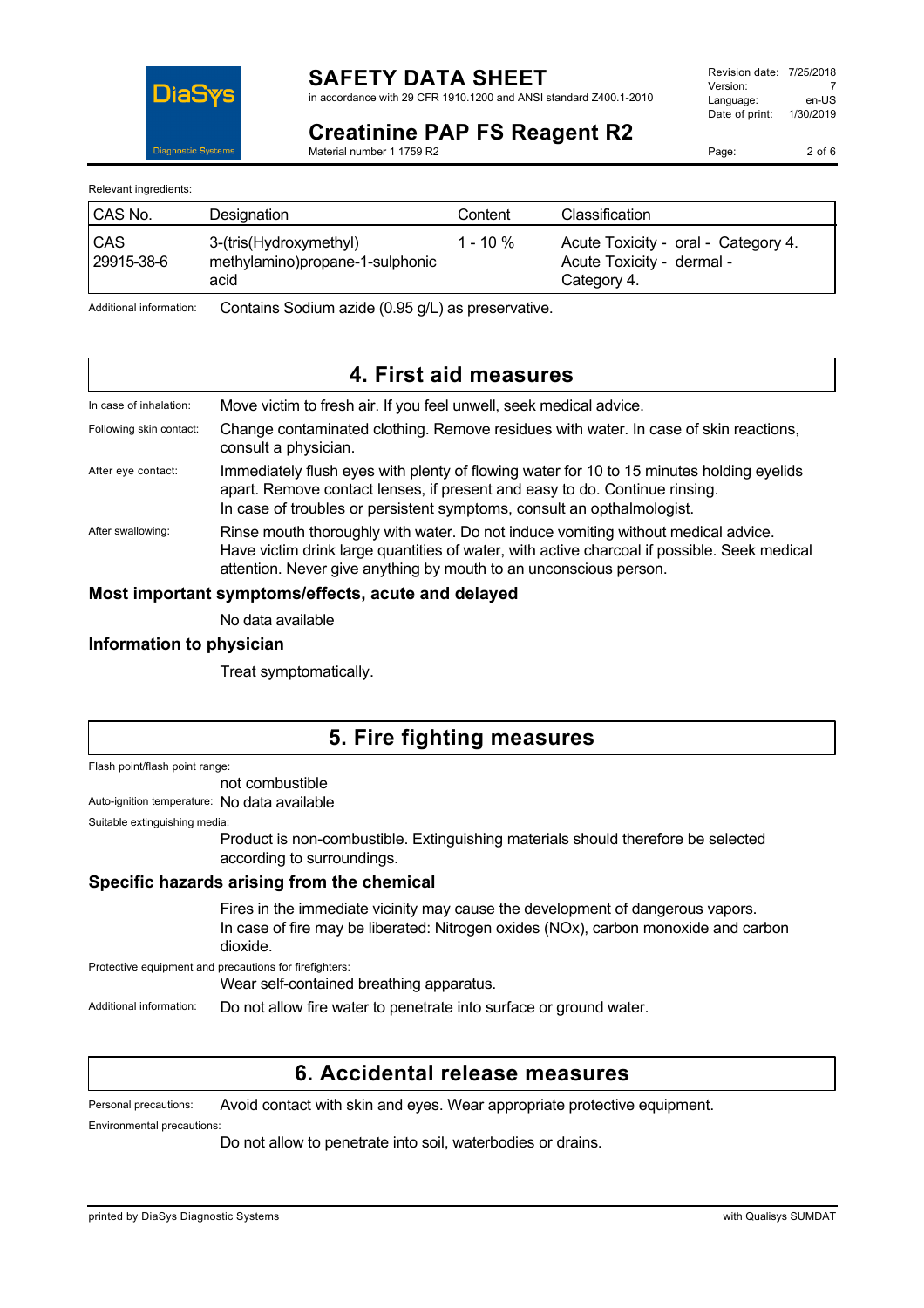

in accordance with 29 CFR 1910.1200 and ANSI standard Z400.1-2010

**Creatinine PAP FS Reagent R2** Material number 1 1759 R2

Page: 2 of 6

Relevant ingredients:

| CAS No.           | Designation                                                       | Content     | <b>Classification</b>                                                           |
|-------------------|-------------------------------------------------------------------|-------------|---------------------------------------------------------------------------------|
| CAS<br>29915-38-6 | 3-(tris(Hydroxymethyl)<br>methylamino)propane-1-sulphonic<br>acid | $1 - 10 \%$ | Acute Toxicity - oral - Category 4.<br>Acute Toxicity - dermal -<br>Category 4. |

Additional information: Contains Sodium azide (0.95 g/L) as preservative.

## **4. First aid measures**

| In case of inhalation:  | Move victim to fresh air. If you feel unwell, seek medical advice.                                                                                                                                                                                    |
|-------------------------|-------------------------------------------------------------------------------------------------------------------------------------------------------------------------------------------------------------------------------------------------------|
| Following skin contact: | Change contaminated clothing. Remove residues with water. In case of skin reactions,<br>consult a physician.                                                                                                                                          |
| After eye contact:      | Immediately flush eyes with plenty of flowing water for 10 to 15 minutes holding eyelids<br>apart. Remove contact lenses, if present and easy to do. Continue rinsing.<br>In case of troubles or persistent symptoms, consult an opthalmologist.      |
| After swallowing:       | Rinse mouth thoroughly with water. Do not induce vomiting without medical advice.<br>Have victim drink large quantities of water, with active charcoal if possible. Seek medical<br>attention. Never give anything by mouth to an unconscious person. |

#### **Most important symptoms/effects, acute and delayed**

No data available

#### **Information to physician**

Treat symptomatically.

## **5. Fire fighting measures**

Flash point/flash point range:

not combustible

Auto-ignition temperature: No data available

Suitable extinguishing media:

Product is non-combustible. Extinguishing materials should therefore be selected according to surroundings.

### **Specific hazards arising from the chemical**

Fires in the immediate vicinity may cause the development of dangerous vapors. In case of fire may be liberated: Nitrogen oxides (NOx), carbon monoxide and carbon dioxide.

Protective equipment and precautions for firefighters:

Wear self-contained breathing apparatus.

Additional information: Do not allow fire water to penetrate into surface or ground water.

### **6. Accidental release measures**

Personal precautions: Avoid contact with skin and eyes. Wear appropriate protective equipment.

Environmental precautions:

Do not allow to penetrate into soil, waterbodies or drains.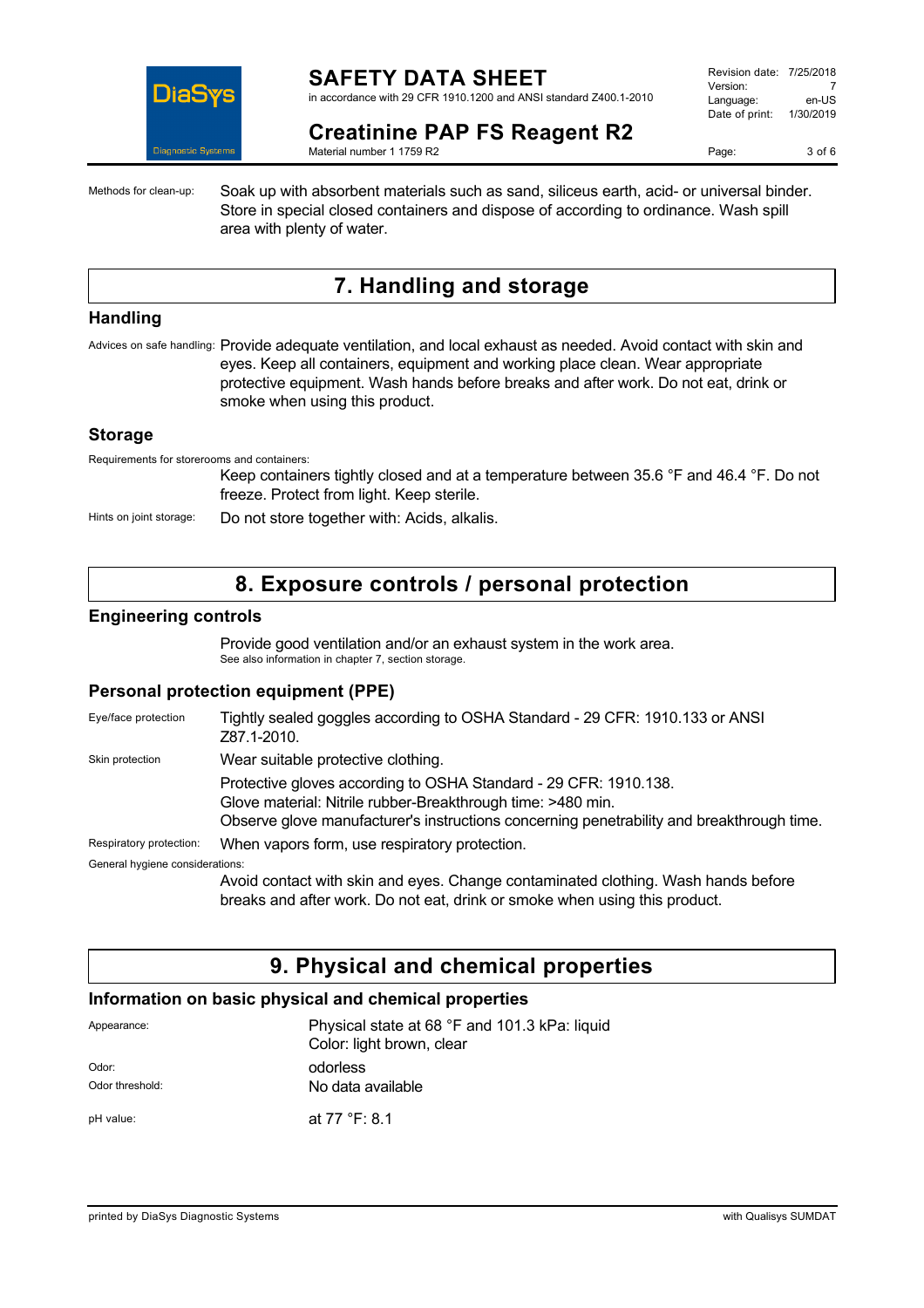

## **SAFETY DATA SHEET**

in accordance with 29 CFR 1910.1200 and ANSI standard Z400.1-2010

| Revision date: 7/25/2018 |           |
|--------------------------|-----------|
| Version:                 |           |
| Language:                | en-US     |
| Date of print:           | 1/30/2019 |
|                          |           |

### **Creatinine PAP FS Reagent R2**

Material number 1 1759 R2

Page: 3 of 6

Methods for clean-up: Soak up with absorbent materials such as sand, siliceus earth, acid- or universal binder. Store in special closed containers and dispose of according to ordinance. Wash spill area with plenty of water.

# **7. Handling and storage**

#### **Handling**

Advices on safe handling: Provide adequate ventilation, and local exhaust as needed. Avoid contact with skin and eyes. Keep all containers, equipment and working place clean. Wear appropriate protective equipment. Wash hands before breaks and after work. Do not eat, drink or smoke when using this product.

### **Storage**

Requirements for storerooms and containers:

Keep containers tightly closed and at a temperature between 35.6 °F and 46.4 °F. Do not freeze. Protect from light. Keep sterile.

Hints on joint storage: Do not store together with: Acids, alkalis.

## **8. Exposure controls / personal protection**

#### **Engineering controls**

Provide good ventilation and/or an exhaust system in the work area. See also information in chapter 7, section storage.

### **Personal protection equipment (PPE)**

| Eye/face protection             | Tightly sealed goggles according to OSHA Standard - 29 CFR: 1910.133 or ANSI<br>Z87.1-2010.                                                                                                                                  |
|---------------------------------|------------------------------------------------------------------------------------------------------------------------------------------------------------------------------------------------------------------------------|
| Skin protection                 | Wear suitable protective clothing.                                                                                                                                                                                           |
|                                 | Protective gloves according to OSHA Standard - 29 CFR: 1910.138.<br>Glove material: Nitrile rubber-Breakthrough time: >480 min.<br>Observe glove manufacturer's instructions concerning penetrability and breakthrough time. |
| Respiratory protection:         | When vapors form, use respiratory protection.                                                                                                                                                                                |
| General hygiene considerations: |                                                                                                                                                                                                                              |
|                                 | Avoid contact with skin and eyes. Change contaminated clothing. Wash hands before<br>breaks and after work. Do not eat, drink or smoke when using this product.                                                              |

# **9. Physical and chemical properties**

### **Information on basic physical and chemical properties**

| Appearance:              | Physical state at 68 °F and 101.3 kPa: liquid<br>Color: light brown, clear |  |
|--------------------------|----------------------------------------------------------------------------|--|
| Odor:<br>Odor threshold: | odorless<br>No data available                                              |  |
| pH value:                | at 77 °F: 8.1                                                              |  |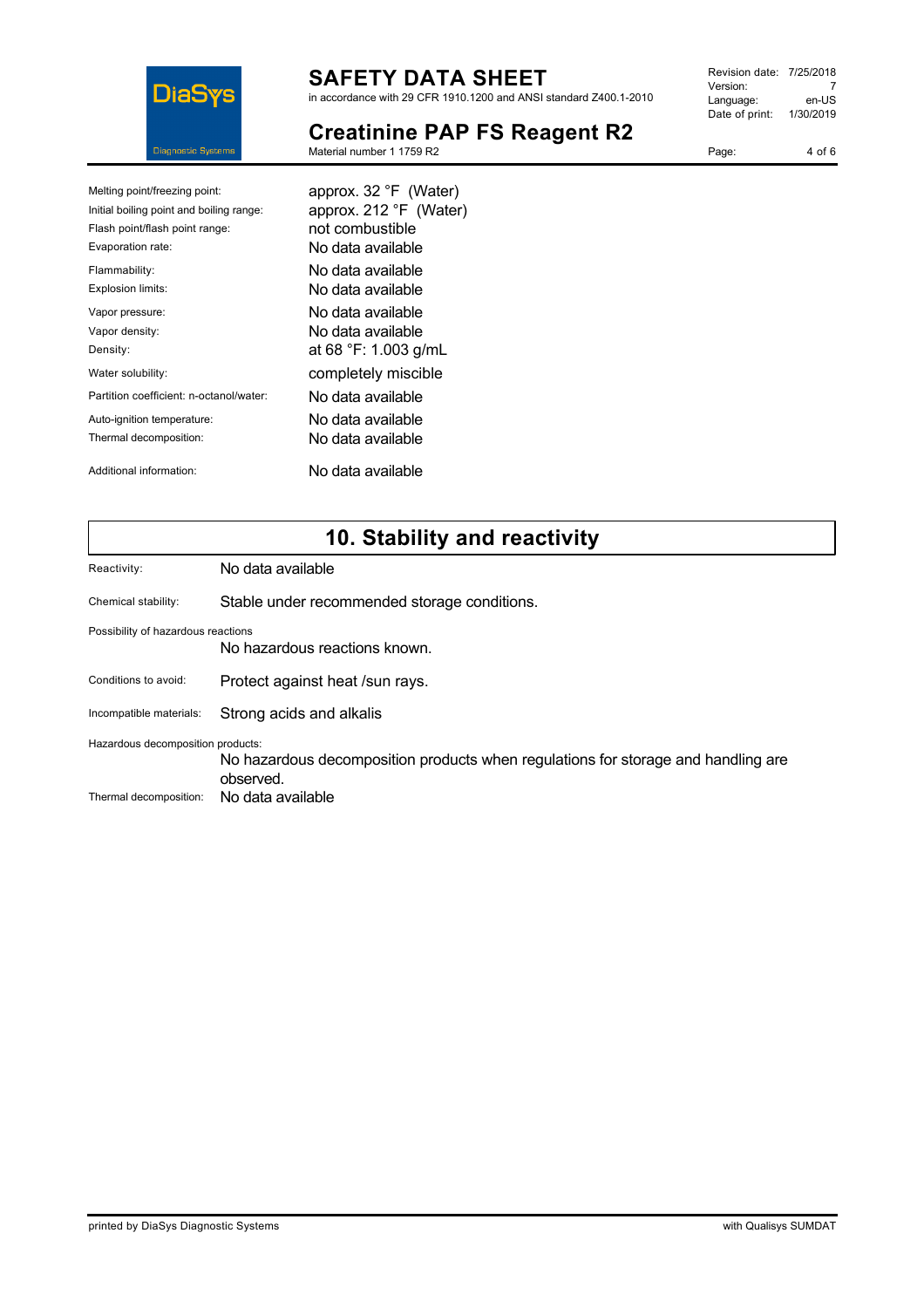

# **SAFETY DATA SHEET**

in accordance with 29 CFR 1910.1200 and ANSI standard Z400.1-2010

| Revision date: 7/25/2018 |           |
|--------------------------|-----------|
| Version:                 |           |
| Language:                | en-US     |
| Date of print:           | 1/30/2019 |
|                          |           |

Page: 4 of 6

# **Creatinine PAP FS Reagent R2**

Material number 1 1759 R2

| Melting point/freezing point:            | approx. 32 °F (Water)  |
|------------------------------------------|------------------------|
| Initial boiling point and boiling range: | approx. 212 °F (Water) |
| Flash point/flash point range:           | not combustible        |
| Evaporation rate:                        | No data available      |
| Flammability:                            | No data available      |
| <b>Explosion limits:</b>                 | No data available      |
| Vapor pressure:                          | No data available      |
| Vapor density:                           | No data available      |
| Density:                                 | at 68 °F: 1.003 g/mL   |
| Water solubility:                        | completely miscible    |
| Partition coefficient: n-octanol/water:  | No data available      |
| Auto-ignition temperature:               | No data available      |
| Thermal decomposition:                   | No data available      |
| Additional information:                  | No data available      |

# **10. Stability and reactivity**

| Reactivity:                                                         | No data available                                                                              |  |
|---------------------------------------------------------------------|------------------------------------------------------------------------------------------------|--|
| Chemical stability:                                                 | Stable under recommended storage conditions.                                                   |  |
| Possibility of hazardous reactions<br>No hazardous reactions known. |                                                                                                |  |
| Conditions to avoid:                                                | Protect against heat /sun rays.                                                                |  |
| Incompatible materials:                                             | Strong acids and alkalis                                                                       |  |
| Hazardous decomposition products:                                   |                                                                                                |  |
|                                                                     | No hazardous decomposition products when regulations for storage and handling are<br>observed. |  |
| Thermal decomposition:                                              | No data available                                                                              |  |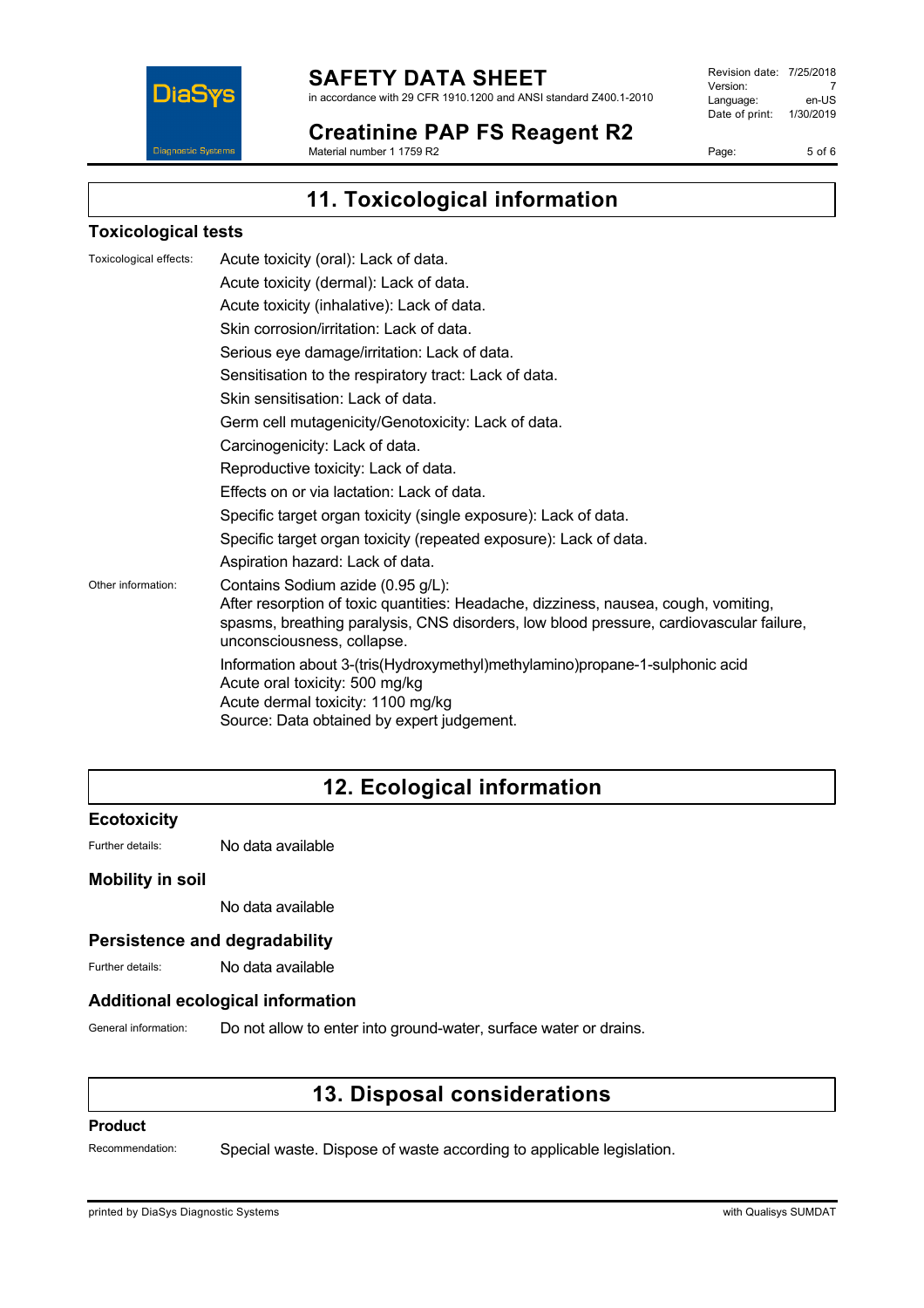

## **SAFETY DATA SHEET**

in accordance with 29 CFR 1910.1200 and ANSI standard Z400.1-2010

**Creatinine PAP FS Reagent R2** Material number 1 1759 R2

Revision date: 7/25/2018 Version: 7<br>Language: en-US Language: Date of print: 1/30/2019

Page: 5 of 6

**11. Toxicological information**

### **Toxicological tests**

| Toxicological effects: | Acute toxicity (oral): Lack of data.                                                                                                                                                                                                              |
|------------------------|---------------------------------------------------------------------------------------------------------------------------------------------------------------------------------------------------------------------------------------------------|
|                        | Acute toxicity (dermal): Lack of data.                                                                                                                                                                                                            |
|                        | Acute toxicity (inhalative): Lack of data.                                                                                                                                                                                                        |
|                        | Skin corrosion/irritation: Lack of data.                                                                                                                                                                                                          |
|                        | Serious eye damage/irritation: Lack of data.                                                                                                                                                                                                      |
|                        | Sensitisation to the respiratory tract: Lack of data.                                                                                                                                                                                             |
|                        | Skin sensitisation: Lack of data.                                                                                                                                                                                                                 |
|                        | Germ cell mutagenicity/Genotoxicity: Lack of data.                                                                                                                                                                                                |
|                        | Carcinogenicity: Lack of data.                                                                                                                                                                                                                    |
|                        | Reproductive toxicity: Lack of data.                                                                                                                                                                                                              |
|                        | Effects on or via lactation: Lack of data.                                                                                                                                                                                                        |
|                        | Specific target organ toxicity (single exposure): Lack of data.                                                                                                                                                                                   |
|                        | Specific target organ toxicity (repeated exposure): Lack of data.                                                                                                                                                                                 |
|                        | Aspiration hazard: Lack of data.                                                                                                                                                                                                                  |
| Other information:     | Contains Sodium azide (0.95 g/L):<br>After resorption of toxic quantities: Headache, dizziness, nausea, cough, vomiting,<br>spasms, breathing paralysis, CNS disorders, low blood pressure, cardiovascular failure,<br>unconsciousness, collapse. |
|                        | Information about 3-(tris(Hydroxymethyl)methylamino)propane-1-sulphonic acid<br>Acute oral toxicity: 500 mg/kg<br>Acute dermal toxicity: 1100 mg/kg<br>Source: Data obtained by expert judgement.                                                 |

# **12. Ecological information**

#### **Ecotoxicity**

Further details: No data available

### **Mobility in soil**

No data available

#### **Persistence and degradability**

Further details: No data available

#### **Additional ecological information**

General information: Do not allow to enter into ground-water, surface water or drains.

# **13. Disposal considerations**

#### **Product**

Recommendation: Special waste. Dispose of waste according to applicable legislation.